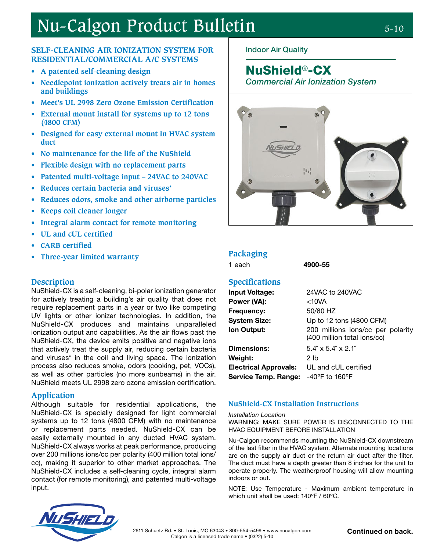# Nu-Calgon Product Bulletin 5-10

### **SELF-CLEANING AIR IONIZATION SYSTEM FOR RESIDENTIAL/COMMERCIAL A/C SYSTEMS**

- **• A patented self-cleaning design**
- **• Needlepoint ionization actively treats air in homes and buildings**
- **• Meet's UL 2998 Zero Ozone Emission Certification**
- **• External mount install for systems up to 12 tons (4800 CFM)**
- **• Designed for easy external mount in HVAC system duct**
- **• No maintenance for the life of the NuShield**
- **• Flexible design with no replacement parts**
- **• Patented multi-voltage input 24VAC to 240VAC**
- **• Reduces certain bacteria and viruses\***
- **• Reduces odors, smoke and other airborne particles**
- **• Keeps coil cleaner longer**
- **• Integral alarm contact for remote monitoring**
- **• UL and cUL certified**
- **• CARB certified**
- **•• Packaging Packaging Packaging Packaging Packaging Packaging Packaging Packaging Packaging Packaging Packaging Packaging Packaging Packaging Packaging Packaging Packaging Packaging**

#### **Description**

NuShield-CX is a self-cleaning, bi-polar ionization generator for actively treating a building's air quality that does not require replacement parts in a year or two like competing UV lights or other ionizer technologies. In addition, the NuShield-CX produces and maintains unparalleled ionization output and capabilities. As the air flows past the NuShield-CX, the device emits positive and negative ions that actively treat the supply air, reducing certain bacteria and viruses\* in the coil and living space. The ionization process also reduces smoke, odors (cooking, pet, VOCs), as well as other particles (no more sunbeams) in the air. NuShield meets UL 2998 zero ozone emission certification.

#### **Application**

Although suitable for residential applications, the NuShield-CX is specially designed for light commercial systems up to 12 tons (4800 CFM) with no maintenance or replacement parts needed. NuShield-CX can be easily externally mounted in any ducted HVAC system. NuShield-CX always works at peak performance, producing over 200 millions ions/cc per polarity (400 million total ions/ cc), making it superior to other market approaches. The NuShield-CX includes a self-cleaning cycle, integral alarm contact (for remote monitoring), and patented multi-voltage input.



## NuShield®-CX

Commercial Air Ionization System



4900-55

#### **Specifications**

| <b>Input Voltage:</b>        | 24VAC to 240VAC                                                  |
|------------------------------|------------------------------------------------------------------|
| Power (VA):                  | $<$ 10VA                                                         |
| <b>Frequency:</b>            | 50/60 HZ                                                         |
| <b>System Size:</b>          | Up to 12 tons (4800 CFM)                                         |
| Ion Output:                  | 200 millions ions/cc per polarity<br>(400 million total ions/cc) |
| <b>Dimensions:</b>           | $5.4'' \times 5.4'' \times 2.1''$                                |
| <b>Weight:</b>               | 2 <sub>1</sub>                                                   |
| <b>Electrical Approvals:</b> | UL and cUL certified                                             |
| Service Temp. Range:         | $-40^{\circ}$ F to 160 $^{\circ}$ F                              |
|                              |                                                                  |

#### **NuShield-CX Installation Instructions**

Installation Location

WARNING: MAKE SURE POWER IS DISCONNECTED TO THE HVAC EQUIPMENT BEFORE INSTALLATION

Nu-Calgon recommends mounting the NuShield-CX downstream of the last filter in the HVAC system. Alternate mounting locations are on the supply air duct or the return air duct after the filter. The duct must have a depth greater than 8 inches for the unit to operate properly. The weatherproof housing will allow mounting indoors or out.

NOTE: Use Temperature - Maximum ambient temperature in which unit shall be used: 140ºF / 60ºC.